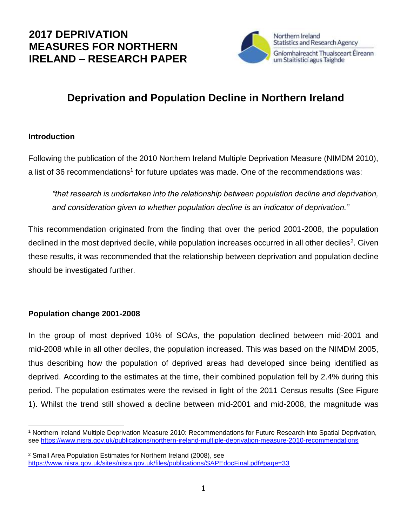## **2017 DEPRIVATION MEASURES FOR NORTHERN IRELAND – RESEARCH PAPER**



# **Deprivation and Population Decline in Northern Ireland**

#### **Introduction**

Following the publication of the 2010 Northern Ireland Multiple Deprivation Measure (NIMDM 2010), a list of 36 recommendations<sup>1</sup> for future updates was made. One of the recommendations was:

*"that research is undertaken into the relationship between population decline and deprivation, and consideration given to whether population decline is an indicator of deprivation."*

This recommendation originated from the finding that over the period 2001-2008, the population declined in the most deprived decile, while population increases occurred in all other deciles<sup>2</sup>. Given these results, it was recommended that the relationship between deprivation and population decline should be investigated further.

## **Population change 2001-2008**

In the group of most deprived 10% of SOAs, the population declined between mid-2001 and mid-2008 while in all other deciles, the population increased. This was based on the NIMDM 2005, thus describing how the population of deprived areas had developed since being identified as deprived. According to the estimates at the time, their combined population fell by 2.4% during this period. The population estimates were the revised in light of the 2011 Census results (See Figure 1). Whilst the trend still showed a decline between mid-2001 and mid-2008, the magnitude was

l <sup>1</sup> Northern Ireland Multiple Deprivation Measure 2010: Recommendations for Future Research into Spatial Deprivation, see<https://www.nisra.gov.uk/publications/northern-ireland-multiple-deprivation-measure-2010-recommendations>

<sup>2</sup> Small Area Population Estimates for Northern Ireland (2008), see <https://www.nisra.gov.uk/sites/nisra.gov.uk/files/publications/SAPEdocFinal.pdf#page=33>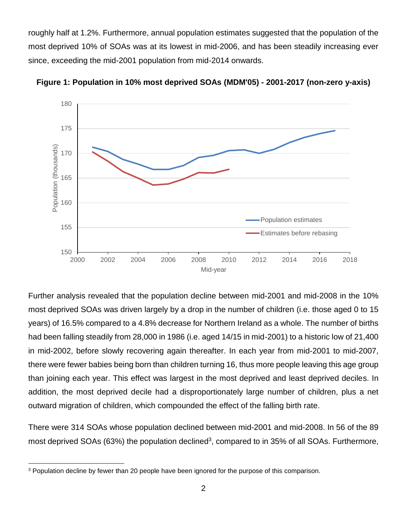roughly half at 1.2%. Furthermore, annual population estimates suggested that the population of the most deprived 10% of SOAs was at its lowest in mid-2006, and has been steadily increasing ever since, exceeding the mid-2001 population from mid-2014 onwards.



**Figure 1: Population in 10% most deprived SOAs (MDM'05) - 2001-2017 (non-zero y-axis)**

Further analysis revealed that the population decline between mid-2001 and mid-2008 in the 10% most deprived SOAs was driven largely by a drop in the number of children (i.e. those aged 0 to 15 years) of 16.5% compared to a 4.8% decrease for Northern Ireland as a whole. The number of births had been falling steadily from 28,000 in 1986 (i.e. aged 14/15 in mid-2001) to a historic low of 21,400 in mid-2002, before slowly recovering again thereafter. In each year from mid-2001 to mid-2007, there were fewer babies being born than children turning 16, thus more people leaving this age group than joining each year. This effect was largest in the most deprived and least deprived deciles. In addition, the most deprived decile had a disproportionately large number of children, plus a net outward migration of children, which compounded the effect of the falling birth rate.

There were 314 SOAs whose population declined between mid-2001 and mid-2008. In 56 of the 89 most deprived SOAs (63%) the population declined<sup>3</sup>, compared to in 35% of all SOAs. Furthermore,

l <sup>3</sup> Population decline by fewer than 20 people have been ignored for the purpose of this comparison.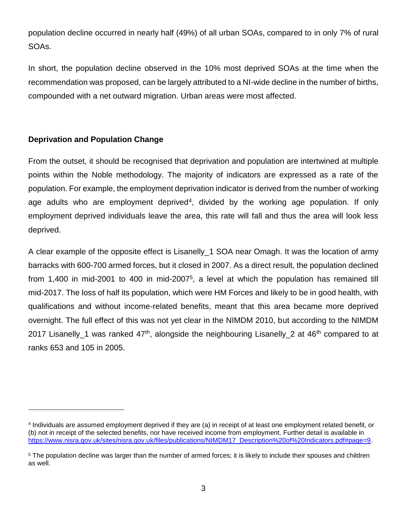population decline occurred in nearly half (49%) of all urban SOAs, compared to in only 7% of rural SOAs.

In short, the population decline observed in the 10% most deprived SOAs at the time when the recommendation was proposed, can be largely attributed to a NI-wide decline in the number of births, compounded with a net outward migration. Urban areas were most affected.

## **Deprivation and Population Change**

l

From the outset, it should be recognised that deprivation and population are intertwined at multiple points within the Noble methodology. The majority of indicators are expressed as a rate of the population. For example, the employment deprivation indicator is derived from the number of working age adults who are employment deprived<sup>4</sup>, divided by the working age population. If only employment deprived individuals leave the area, this rate will fall and thus the area will look less deprived.

A clear example of the opposite effect is Lisanelly\_1 SOA near Omagh. It was the location of army barracks with 600-700 armed forces, but it closed in 2007. As a direct result, the population declined from 1,400 in mid-2001 to 400 in mid-2007<sup>5</sup>, a level at which the population has remained till mid-2017. The loss of half its population, which were HM Forces and likely to be in good health, with qualifications and without income-related benefits, meant that this area became more deprived overnight. The full effect of this was not yet clear in the NIMDM 2010, but according to the NIMDM 2017 Lisanelly 1 was ranked 47<sup>th</sup>, alongside the neighbouring Lisanelly 2 at 46<sup>th</sup> compared to at ranks 653 and 105 in 2005.

<sup>4</sup> Individuals are assumed employment deprived if they are (a) in receipt of at least one employment related benefit, or (b) not in receipt of the selected benefits, nor have received income from employment. Further detail is available in https://www.nisra.gov.uk/sites/nisra.gov.uk/files/publications/NIMDM17\_Description%20of%20Indicators.pdf#page=9

<sup>&</sup>lt;sup>5</sup> The population decline was larger than the number of armed forces; it is likely to include their spouses and children as well.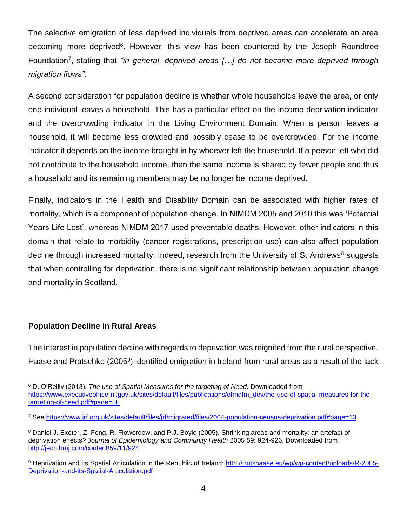The selective emigration of less deprived individuals from deprived areas can accelerate an area becoming more deprived<sup>6</sup>. However, this view has been countered by the Joseph Roundtree Foundation<sup>7</sup>, stating that "in general, deprived areas [...] do not become more deprived through *migration flows"*.

A second consideration for population decline is whether whole households leave the area, or only one individual leaves a household. This has a particular effect on the income deprivation indicator and the overcrowding indicator in the Living Environment Domain. When a person leaves a household, it will become less crowded and possibly cease to be overcrowded. For the income indicator it depends on the income brought in by whoever left the household. If a person left who did not contribute to the household income, then the same income is shared by fewer people and thus a household and its remaining members may be no longer be income deprived.

Finally, indicators in the Health and Disability Domain can be associated with higher rates of mortality, which is a component of population change. In NIMDM 2005 and 2010 this was 'Potential Years Life Lost', whereas NIMDM 2017 used preventable deaths. However, other indicators in this domain that relate to morbidity (cancer registrations, prescription use) can also affect population decline through increased mortality. Indeed, research from the University of St Andrews<sup>8</sup> suggests that when controlling for deprivation, there is no significant relationship between population change and mortality in Scotland.

## **Population Decline in Rural Areas**

l

The interest in population decline with regards to deprivation was reignited from the rural perspective. Haase and Pratschke (2005<sup>9</sup>) identified emigration in Ireland from rural areas as a result of the lack

<sup>6</sup> D. O'Reilly (2013). *The use of Spatial Measures for the targeting of Need*. Downloaded from [https://www.executiveoffice-ni.gov.uk/sites/default/files/publications/ofmdfm\\_dev/the-use-of-spatial-measures-for-the](https://www.executiveoffice-ni.gov.uk/sites/default/files/publications/ofmdfm_dev/the-use-of-spatial-measures-for-the-targeting-of-need.pdf#page=56)[targeting-of-need.pdf#page=56](https://www.executiveoffice-ni.gov.uk/sites/default/files/publications/ofmdfm_dev/the-use-of-spatial-measures-for-the-targeting-of-need.pdf#page=56)

<sup>7</sup> See<https://www.jrf.org.uk/sites/default/files/jrf/migrated/files/2004-population-census-deprivation.pdf#page=13>

<sup>8</sup> Daniel J. Exeter, Z. Feng, R. Flowerdew, and P.J. Boyle (2005). Shrinking areas and mortality: an artefact of deprivation effects? *Journal of Epidemiology and Community Health* 2005 59: 924-926. Downloaded from <http://jech.bmj.com/content/59/11/924>

<sup>9</sup> Deprivation and its Spatial Articulation in the Republic of Ireland: [http://trutzhaase.eu/wp/wp-content/uploads/R-2005-](http://trutzhaase.eu/wp/wp-content/uploads/R-2005-Deprivation-and-its-Spatial-Articulation.pdf) [Deprivation-and-its-Spatial-Articulation.pdf](http://trutzhaase.eu/wp/wp-content/uploads/R-2005-Deprivation-and-its-Spatial-Articulation.pdf)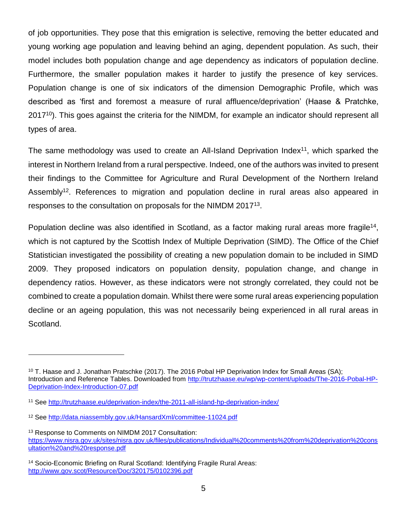of job opportunities. They pose that this emigration is selective, removing the better educated and young working age population and leaving behind an aging, dependent population. As such, their model includes both population change and age dependency as indicators of population decline. Furthermore, the smaller population makes it harder to justify the presence of key services. Population change is one of six indicators of the dimension Demographic Profile, which was described as 'first and foremost a measure of rural affluence/deprivation' (Haase & Pratchke, 2017<sup>10</sup>). This goes against the criteria for the NIMDM, for example an indicator should represent all types of area.

The same methodology was used to create an All-Island Deprivation Index<sup>11</sup>, which sparked the interest in Northern Ireland from a rural perspective. Indeed, one of the authors was invited to present their findings to the Committee for Agriculture and Rural Development of the Northern Ireland Assembly<sup>12</sup>. References to migration and population decline in rural areas also appeared in responses to the consultation on proposals for the NIMDM 2017<sup>13</sup>.

Population decline was also identified in Scotland, as a factor making rural areas more fragile<sup>14</sup>, which is not captured by the Scottish Index of Multiple Deprivation (SIMD). The Office of the Chief Statistician investigated the possibility of creating a new population domain to be included in SIMD 2009. They proposed indicators on population density, population change, and change in dependency ratios. However, as these indicators were not strongly correlated, they could not be combined to create a population domain. Whilst there were some rural areas experiencing population decline or an ageing population, this was not necessarily being experienced in all rural areas in Scotland.

l

<sup>&</sup>lt;sup>10</sup> T. Haase and J. Jonathan Pratschke (2017). The 2016 Pobal HP Deprivation Index for Small Areas (SA); Introduction and Reference Tables. Downloaded from [http://trutzhaase.eu/wp/wp-content/uploads/The-2016-Pobal-HP-](http://trutzhaase.eu/wp/wp-content/uploads/The-2016-Pobal-HP-Deprivation-Index-Introduction-07.pdf)[Deprivation-Index-Introduction-07.pdf](http://trutzhaase.eu/wp/wp-content/uploads/The-2016-Pobal-HP-Deprivation-Index-Introduction-07.pdf)

<sup>11</sup> See<http://trutzhaase.eu/deprivation-index/the-2011-all-island-hp-deprivation-index/>

<sup>12</sup> See<http://data.niassembly.gov.uk/HansardXml/committee-11024.pdf>

<sup>&</sup>lt;sup>13</sup> Response to Comments on NIMDM 2017 Consultation: [https://www.nisra.gov.uk/sites/nisra.gov.uk/files/publications/Individual%20comments%20from%20deprivation%20cons](https://www.nisra.gov.uk/sites/nisra.gov.uk/files/publications/Individual%20comments%20from%20deprivation%20consultation%20and%20response.pdf) [ultation%20and%20response.pdf](https://www.nisra.gov.uk/sites/nisra.gov.uk/files/publications/Individual%20comments%20from%20deprivation%20consultation%20and%20response.pdf)

<sup>14</sup> Socio-Economic Briefing on Rural Scotland: Identifying Fragile Rural Areas: <http://www.gov.scot/Resource/Doc/320175/0102396.pdf>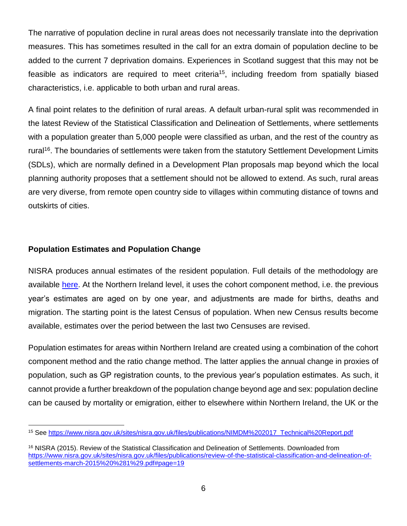The narrative of population decline in rural areas does not necessarily translate into the deprivation measures. This has sometimes resulted in the call for an extra domain of population decline to be added to the current 7 deprivation domains. Experiences in Scotland suggest that this may not be feasible as indicators are required to meet criteria<sup>15</sup>, including freedom from spatially biased characteristics, i.e. applicable to both urban and rural areas.

A final point relates to the definition of rural areas. A default urban-rural split was recommended in the latest Review of the Statistical Classification and Delineation of Settlements, where settlements with a population greater than 5,000 people were classified as urban, and the rest of the country as rural<sup>16</sup>. The boundaries of settlements were taken from the statutory Settlement Development Limits (SDLs), which are normally defined in a Development Plan proposals map beyond which the local planning authority proposes that a settlement should not be allowed to extend. As such, rural areas are very diverse, from remote open country side to villages within commuting distance of towns and outskirts of cities.

#### **Population Estimates and Population Change**

l

NISRA produces annual estimates of the resident population. Full details of the methodology are available [here.](https://www.nisra.gov.uk/sites/nisra.gov.uk/files/publications/Methodology-2017.pdf) At the Northern Ireland level, it uses the cohort component method, i.e. the previous year's estimates are aged on by one year, and adjustments are made for births, deaths and migration. The starting point is the latest Census of population. When new Census results become available, estimates over the period between the last two Censuses are revised.

Population estimates for areas within Northern Ireland are created using a combination of the cohort component method and the ratio change method. The latter applies the annual change in proxies of population, such as GP registration counts, to the previous year's population estimates. As such, it cannot provide a further breakdown of the population change beyond age and sex: population decline can be caused by mortality or emigration, either to elsewhere within Northern Ireland, the UK or the

<sup>15</sup> See [https://www.nisra.gov.uk/sites/nisra.gov.uk/files/publications/NIMDM%202017\\_Technical%20Report.pdf](https://www.nisra.gov.uk/sites/nisra.gov.uk/files/publications/NIMDM%202017_Technical%20Report.pdf)

<sup>16</sup> NISRA (2015). Review of the Statistical Classification and Delineation of Settlements. Downloaded from [https://www.nisra.gov.uk/sites/nisra.gov.uk/files/publications/review-of-the-statistical-classification-and-delineation-of](https://www.nisra.gov.uk/sites/nisra.gov.uk/files/publications/review-of-the-statistical-classification-and-delineation-of-settlements-march-2015%20%281%29.pdf#page=19)[settlements-march-2015%20%281%29.pdf#page=19](https://www.nisra.gov.uk/sites/nisra.gov.uk/files/publications/review-of-the-statistical-classification-and-delineation-of-settlements-march-2015%20%281%29.pdf#page=19)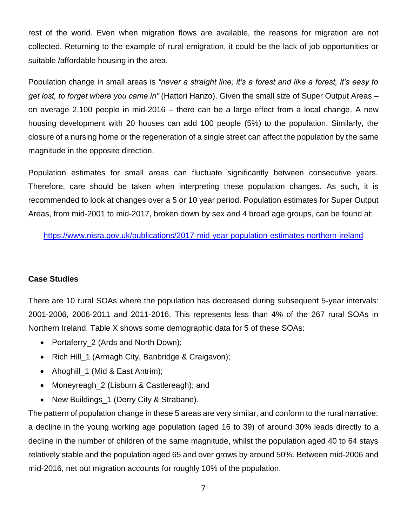rest of the world. Even when migration flows are available, the reasons for migration are not collected. Returning to the example of rural emigration, it could be the lack of job opportunities or suitable /affordable housing in the area.

Population change in small areas is *"never a straight line; it's a forest and like a forest, it's easy to get lost, to forget where you came in"* (Hattori Hanzo). Given the small size of Super Output Areas – on average 2,100 people in mid-2016 – there can be a large effect from a local change. A new housing development with 20 houses can add 100 people (5%) to the population. Similarly, the closure of a nursing home or the regeneration of a single street can affect the population by the same magnitude in the opposite direction.

Population estimates for small areas can fluctuate significantly between consecutive years. Therefore, care should be taken when interpreting these population changes. As such, it is recommended to look at changes over a 5 or 10 year period. Population estimates for Super Output Areas, from mid-2001 to mid-2017, broken down by sex and 4 broad age groups, can be found at:

<https://www.nisra.gov.uk/publications/2017-mid-year-population-estimates-northern-ireland>

## **Case Studies**

There are 10 rural SOAs where the population has decreased during subsequent 5-year intervals: 2001-2006, 2006-2011 and 2011-2016. This represents less than 4% of the 267 rural SOAs in Northern Ireland. Table X shows some demographic data for 5 of these SOAs:

- Portaferry\_2 (Ards and North Down);
- Rich Hill 1 (Armagh City, Banbridge & Craigavon);
- Ahoghill 1 (Mid & East Antrim);
- Moneyreagh 2 (Lisburn & Castlereagh); and
- New Buildings 1 (Derry City & Strabane).

The pattern of population change in these 5 areas are very similar, and conform to the rural narrative: a decline in the young working age population (aged 16 to 39) of around 30% leads directly to a decline in the number of children of the same magnitude, whilst the population aged 40 to 64 stays relatively stable and the population aged 65 and over grows by around 50%. Between mid-2006 and mid-2016, net out migration accounts for roughly 10% of the population.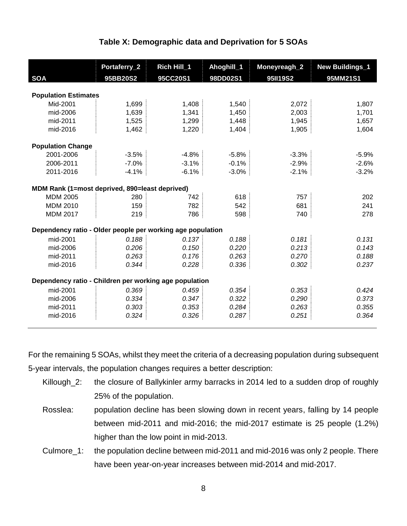| <b>SOA</b>                                                 | Portaferry_2<br>95BB20S2 | Rich Hill_1<br>95CC20S1 | Ahoghill_1<br>98DD02S1 | Moneyreagh_2<br>95II19S2 | <b>New Buildings_1</b><br>95MM21S1 |
|------------------------------------------------------------|--------------------------|-------------------------|------------------------|--------------------------|------------------------------------|
|                                                            |                          |                         |                        |                          |                                    |
| <b>Population Estimates</b>                                |                          |                         |                        |                          |                                    |
| Mid-2001                                                   | 1,699                    | 1,408                   | 1,540                  | 2,072                    | 1,807                              |
| mid-2006                                                   | 1,639                    | 1,341                   | 1,450                  | 2,003                    | 1,701                              |
| mid-2011                                                   | 1,525                    | 1,299                   | 1,448                  | 1,945                    | 1,657                              |
| mid-2016                                                   | 1,462                    | 1,220                   | 1,404                  | 1,905                    | 1,604                              |
| <b>Population Change</b>                                   |                          |                         |                        |                          |                                    |
| 2001-2006                                                  | $-3.5%$                  | $-4.8%$                 | $-5.8%$                | $-3.3%$                  | $-5.9%$                            |
| 2006-2011                                                  | $-7.0%$                  | $-3.1%$                 | $-0.1%$                | $-2.9%$                  | $-2.6%$                            |
| 2011-2016                                                  | $-4.1%$                  | $-6.1%$                 | $-3.0%$                | $-2.1%$                  | $-3.2%$                            |
| MDM Rank (1=most deprived, 890=least deprived)             |                          |                         |                        |                          |                                    |
| <b>MDM 2005</b>                                            | 280                      | 742                     | 618                    | 757                      | 202                                |
| <b>MDM 2010</b>                                            | 159                      | 782                     | 542                    | 681                      | 241                                |
| <b>MDM 2017</b>                                            | 219                      | 786                     | 598                    | 740                      | 278                                |
| Dependency ratio - Older people per working age population |                          |                         |                        |                          |                                    |
| mid-2001                                                   | 0.188                    | 0.137                   | 0.188                  | 0.181                    | 0.131                              |
| mid-2006                                                   | 0.206                    | 0.150                   | 0.220                  | 0.213                    | 0.143                              |
| mid-2011                                                   | 0.263                    | 0.176                   | 0.263                  | 0.270                    | 0.188                              |
| mid-2016                                                   | 0.344                    | 0.228                   | 0.336                  | 0.302                    | 0.237                              |
| Dependency ratio - Children per working age population     |                          |                         |                        |                          |                                    |
| mid-2001                                                   | 0.369                    | 0.459                   | 0.354                  | 0.353                    | 0.424                              |
| mid-2006                                                   | 0.334                    | 0.347                   | 0.322                  | 0.290                    | 0.373                              |
| mid-2011                                                   | 0.303                    | 0.353                   | 0.284                  | 0.263                    | 0.355                              |
| mid-2016                                                   | 0.324                    | 0.326                   | 0.287                  | 0.251                    | 0.364                              |

#### **Table X: Demographic data and Deprivation for 5 SOAs**

For the remaining 5 SOAs, whilst they meet the criteria of a decreasing population during subsequent 5-year intervals, the population changes requires a better description:

- Killough\_2: the closure of Ballykinler army barracks in 2014 led to a sudden drop of roughly 25% of the population.
- Rosslea: population decline has been slowing down in recent years, falling by 14 people between mid-2011 and mid-2016; the mid-2017 estimate is 25 people (1.2%) higher than the low point in mid-2013.
- Culmore\_1: the population decline between mid-2011 and mid-2016 was only 2 people. There have been year-on-year increases between mid-2014 and mid-2017.